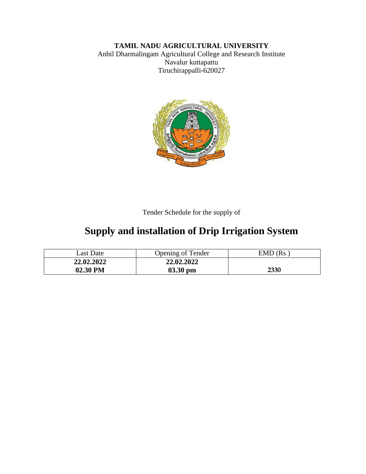# **TAMIL NADU AGRICULTURAL UNIVERSITY**

Anbil Dharmalingam Agricultural College and Research Institute Navalur kuttapattu Tiruchirappalli-620027



Tender Schedule for the supply of

# **Supply and installation of Drip Irrigation System**

| Last Date  | Opening of Tender | $EMD$ ( $Rs$ |
|------------|-------------------|--------------|
| 22,02,2022 | 22.02.2022        |              |
| 02.30 PM   | $03.30$ pm        | 2330         |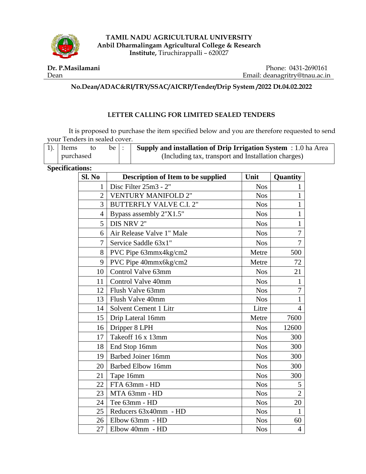

**TAMIL NADU AGRICULTURAL UNIVERSITY Anbil Dharmalingam Agricultural College & Research Institute,** Tiruchirappalli – 620027

#### **Dr. P.Masilamani** Dean

Phone: 0431-2690161 Email: deanagritry@tnau.ac.in

## **No.Dean/ADAC&RI/TRY/SSAC/AICRP/Tender/Drip System /2022 Dt.04.02.2022**

## **LETTER CALLING FOR LIMITED SEALED TENDERS**

It is proposed to purchase the item specified below and you are therefore requested to send your Tenders in sealed cover.

| $ 1$ ). Items |  | be I                                                | <b>Supply and installation of Drip Irrigation System</b> : 1.0 ha Area |
|---------------|--|-----------------------------------------------------|------------------------------------------------------------------------|
| purchased     |  | (Including tax, transport and Installation charges) |                                                                        |

## **Specifications:**

| Sl. No         | Description of Item to be supplied | Unit       | Quantity       |
|----------------|------------------------------------|------------|----------------|
| $\mathbf{1}$   | Disc Filter 25m3 - 2"              | <b>Nos</b> | 1              |
| $\overline{2}$ | <b>VENTURY MANIFOLD 2"</b>         | <b>Nos</b> | $\mathbf{1}$   |
| 3              | <b>BUTTERFLY VALVE C.I. 2"</b>     | <b>Nos</b> | $\mathbf{1}$   |
| $\overline{4}$ | Bypass assembly 2"X1.5"            | <b>Nos</b> | $\mathbf{1}$   |
| 5              | DIS NRV 2"                         | <b>Nos</b> | $\mathbf{1}$   |
| 6              | Air Release Valve 1" Male          | <b>Nos</b> | 7              |
| 7              | Service Saddle 63x1"               | <b>Nos</b> | 7              |
| 8              | PVC Pipe 63mmx4kg/cm2              | Metre      | 500            |
| 9              | PVC Pipe 40mmx6kg/cm2              | Metre      | 72             |
| 10             | Control Valve 63mm                 | <b>Nos</b> | 21             |
| 11             | Control Valve 40mm                 | <b>Nos</b> | 1              |
| 12             | Flush Valve 63mm                   | <b>Nos</b> | 7              |
| 13             | Flush Valve 40mm                   | <b>Nos</b> | $\mathbf{1}$   |
| 14             | Solvent Cement 1 Litr              | Litre      | $\overline{4}$ |
| 15             | Drip Lateral 16mm                  | Metre      | 7600           |
| 16             | Dripper 8 LPH                      | <b>Nos</b> | 12600          |
| 17             | Takeoff 16 x 13mm                  | <b>Nos</b> | 300            |
| 18             | End Stop 16mm                      | <b>Nos</b> | 300            |
| 19             | Barbed Joiner 16mm                 | <b>Nos</b> | 300            |
| 20             | <b>Barbed Elbow 16mm</b>           | <b>Nos</b> | 300            |
| 21             | Tape 16mm                          | <b>Nos</b> | 300            |
| 22             | FTA 63mm - HD                      | <b>Nos</b> | 5              |
| 23             | MTA 63mm - HD                      | <b>Nos</b> | $\overline{2}$ |
| 24             | Tee 63mm - HD                      | <b>Nos</b> | 20             |
| 25             | Reducers 63x40mm - HD              | <b>Nos</b> | $\mathbf{1}$   |
| 26             | Elbow 63mm - HD                    | <b>Nos</b> | 60             |
| 27             | Elbow 40mm - HD                    | <b>Nos</b> | $\overline{4}$ |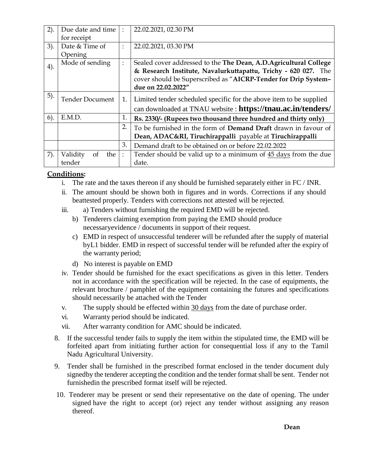| 2).    | Due date and time            | ÷              | 22.02.2021, 02.30 PM                                                  |  |
|--------|------------------------------|----------------|-----------------------------------------------------------------------|--|
|        | for receipt                  |                |                                                                       |  |
| 3).    | Date & Time of               |                | 22.02.2021, 03.30 PM                                                  |  |
|        | Opening                      |                |                                                                       |  |
| 4).    | Mode of sending              |                | Sealed cover addressed to the The Dean, A.D. Agricultural College     |  |
|        |                              |                | & Research Institute, Navalurkuttapattu, Trichy - 620 027. The        |  |
|        |                              |                | cover should be Superscribed as "AICRP-Tender for Drip System-        |  |
|        |                              |                | due on 22.02.2022"                                                    |  |
| 5).    | <b>Tender Document</b><br>1. |                | Limited tender scheduled specific for the above item to be supplied   |  |
|        |                              |                |                                                                       |  |
|        |                              |                | can downloaded at TNAU website : https://tnau.ac.in/tenders/          |  |
| $6$ ). | E.M.D.                       | 1.             | Rs. 2330/- (Rupees two thousand three hundred and thirty only)        |  |
|        |                              | 2.             | To be furnished in the form of <b>Demand Draft</b> drawn in favour of |  |
|        |                              |                | Dean, ADAC&RI, Tiruchirappalli payable at Tiruchirappalli             |  |
|        |                              | 3.             | Demand draft to be obtained on or before 22.02.2022                   |  |
| 7).    | Validity<br>of<br>the        | $\ddot{\cdot}$ | Tender should be valid up to a minimum of 45 days from the due        |  |
|        | tender                       |                | date.                                                                 |  |

## **Conditions:**

- i. The rate and the taxes thereon if any should be furnished separately either in  $FC / INR$ .
- ii. The amount should be shown both in figures and in words. Corrections if any should beattested properly. Tenders with corrections not attested will be rejected.
- iii. a) Tenders without furnishing the required EMD will be rejected.
	- b) Tenderers claiming exemption from paying the EMD should produce necessaryevidence / documents in support of their request.
	- c) EMD in respect of unsuccessful tenderer will be refunded after the supply of material by L1 bidder. EMD in respect of successful tender will be refunded after the expiry of the warranty period;
	- d) No interest is payable on EMD
- iv. Tender should be furnished for the exact specifications as given in this letter. Tenders not in accordance with the specification will be rejected. In the case of equipments, the relevant brochure / pamphlet of the equipment containing the futures and specifications should necessarily be attached with the Tender
- v. The supply should be effected within 30 days from the date of purchase order.
- vi. Warranty period should be indicated.
- vii. After warranty condition for AMC should be indicated.
- 8. If the successful tender fails to supply the item within the stipulated time, the EMD will be forfeited apart from initiating further action for consequential loss if any to the Tamil Nadu Agricultural University.
- 9. Tender shall be furnished in the prescribed format enclosed in the tender document duly signedby the tenderer accepting the condition and the tender format shall be sent. Tender not furnishedin the prescribed format itself will be rejected.
- 10. Tenderer may be present or send their representative on the date of opening. The under signed have the right to accept (or) reject any tender without assigning any reason thereof.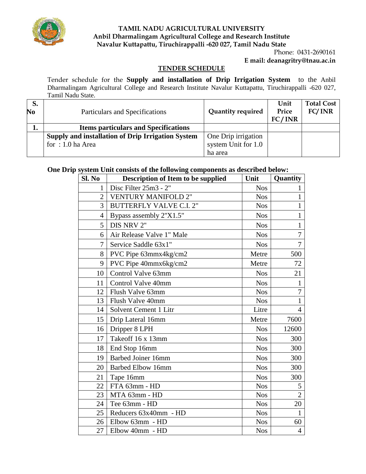

## **TAMIL NADU AGRICULTURAL UNIVERSITY Anbil Dharmalingam Agricultural College and Research Institute Navalur Kuttapattu, Tiruchirappalli -620 027, Tamil Nadu State**

## Phone: 0431-2690161 **E mail: deanagritry@tnau.ac.in**

#### **TENDER SCHEDULE**

Tender schedule for the **Supply and installation of Drip Irrigation System** to the Anbil Dharmalingam Agricultural College and Research Institute Navalur Kuttapattu, Tiruchirappalli -620 027, Tamil Nadu State.

| S.             |                                                   |                          | Unit   | <b>Total Cost</b> |
|----------------|---------------------------------------------------|--------------------------|--------|-------------------|
| N <sub>0</sub> | Particulars and Specifications                    | <b>Quantity required</b> | Price  | FC/INR            |
|                |                                                   |                          | FC/INR |                   |
| ı.             | <b>Items particulars and Specifications</b>       |                          |        |                   |
|                | Supply and installation of Drip Irrigation System | One Drip irrigation      |        |                   |
|                | for: $1.0$ ha Area                                | system Unit for 1.0      |        |                   |
|                |                                                   | ha area                  |        |                   |

## **One Drip system Unit consists of the following components as described below:**

| Sl. No         | <b>Description of Item to be supplied</b> | Unit       | Quantity       |
|----------------|-------------------------------------------|------------|----------------|
| 1              | Disc Filter 25m3 - 2"                     | <b>Nos</b> | 1              |
| $\overline{2}$ | <b>VENTURY MANIFOLD 2"</b>                | <b>Nos</b> | $\mathbf{1}$   |
| 3              | <b>BUTTERFLY VALVE C.I. 2"</b>            | <b>Nos</b> | $\mathbf{1}$   |
| 4              | Bypass assembly 2"X1.5"                   | <b>Nos</b> | $\mathbf{1}$   |
| 5              | DIS NRV 2"                                | <b>Nos</b> | 1              |
| 6              | Air Release Valve 1" Male                 | <b>Nos</b> | 7              |
| 7              | Service Saddle 63x1"                      | <b>Nos</b> | 7              |
| 8              | PVC Pipe 63mmx4kg/cm2                     | Metre      | 500            |
| 9              | PVC Pipe 40mmx6kg/cm2                     | Metre      | 72             |
| 10             | Control Valve 63mm                        | <b>Nos</b> | 21             |
| 11             | Control Valve 40mm                        | <b>Nos</b> | $\mathbf{1}$   |
| 12             | Flush Valve 63mm                          | <b>Nos</b> | $\overline{7}$ |
| 13             | Flush Valve 40mm                          | <b>Nos</b> | $\mathbf{1}$   |
| 14             | Solvent Cement 1 Litr                     | Litre      | $\overline{4}$ |
| 15             | Drip Lateral 16mm                         | Metre      | 7600           |
| 16             | Dripper 8 LPH                             | <b>Nos</b> | 12600          |
| 17             | Takeoff 16 x 13mm                         | <b>Nos</b> | 300            |
| 18             | End Stop 16mm                             | <b>Nos</b> | 300            |
| 19             | <b>Barbed Joiner 16mm</b>                 | <b>Nos</b> | 300            |
| 20             | <b>Barbed Elbow 16mm</b>                  | <b>Nos</b> | 300            |
| 21             | Tape 16mm                                 | <b>Nos</b> | 300            |
| 22             | FTA 63mm - HD                             | <b>Nos</b> | 5              |
| 23             | MTA 63mm - HD                             | <b>Nos</b> | $\overline{2}$ |
| 24             | Tee 63mm - HD                             | <b>Nos</b> | 20             |
| 25             | Reducers 63x40mm - HD                     | <b>Nos</b> | $\mathbf{1}$   |
| 26             | Elbow 63mm - HD                           | <b>Nos</b> | 60             |
| 27             | Elbow 40mm - HD                           | <b>Nos</b> | $\overline{4}$ |